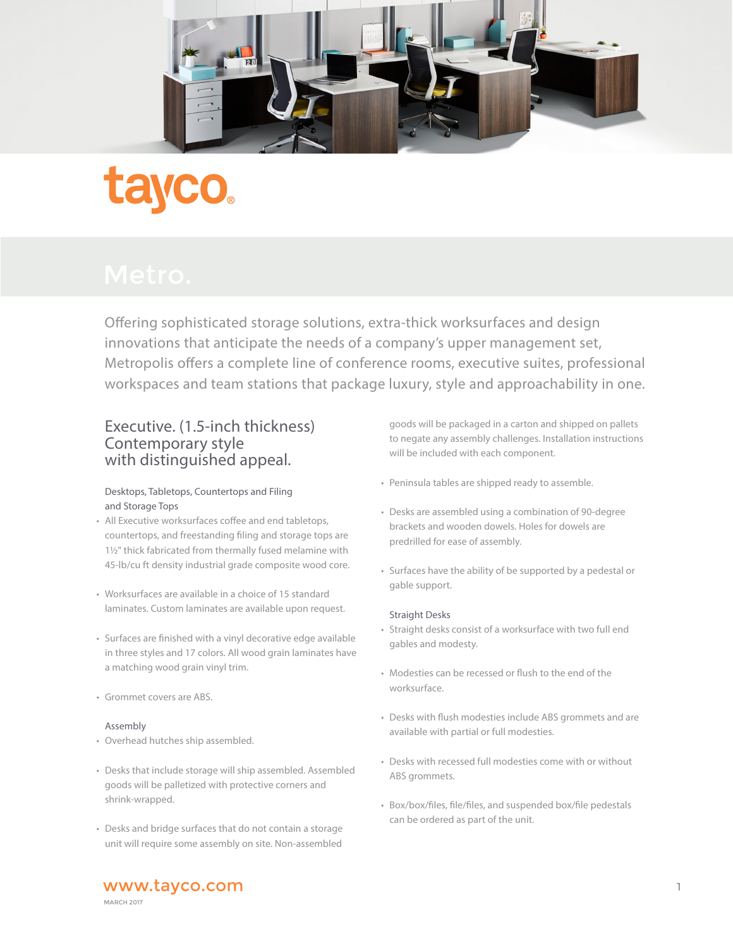

Offering sophisticated storage solutions, extra-thick worksurfaces and design innovations that anticipate the needs of a company's upper management set, Metropolis offers a complete line of conference rooms, executive suites, professional workspaces and team stations that package luxury, style and approachability in one.

# Executive. (1.5-inch thickness) Contemporary style with distinguished appeal.

## Desktops, Tabletops, Countertops and Filing and Storage Tops

- All Executive worksurfaces coffee and end tabletops, countertops, and freestanding filing and storage tops are 1½" thick fabricated from thermally fused melamine with 45-lb/cu ft density industrial grade composite wood core.
- Worksurfaces are available in a choice of 15 standard laminates. Custom laminates are available upon request.
- Surfaces are finished with a vinyl decorative edge available in three styles and 17 colors. All wood grain laminates have a matching wood grain vinyl trim.
- Grommet covers are ABS.

## Assembly

- Overhead hutches ship assembled.
- Desks that include storage will ship assembled. Assembled goods will be palletized with protective corners and shrink-wrapped.
- Desks and bridge surfaces that do not contain a storage unit will require some assembly on site. Non-assembled

 goods will be packaged in a carton and shipped on pallets to negate any assembly challenges. Installation instructions will be included with each component.

- Peninsula tables are shipped ready to assemble.
- Desks are assembled using a combination of 90-degree brackets and wooden dowels. Holes for dowels are predrilled for ease of assembly.
- Surfaces have the ability of be supported by a pedestal or gable support.

## Straight Desks

- Straight desks consist of a worksurface with two full end gables and modesty.
- Modesties can be recessed or flush to the end of the worksurface.
- Desks with flush modesties include ABS grommets and are available with partial or full modesties.
- Desks with recessed full modesties come with or without ABS grommets.
- Box/box/files, file/files, and suspended box/file pedestals can be ordered as part of the unit.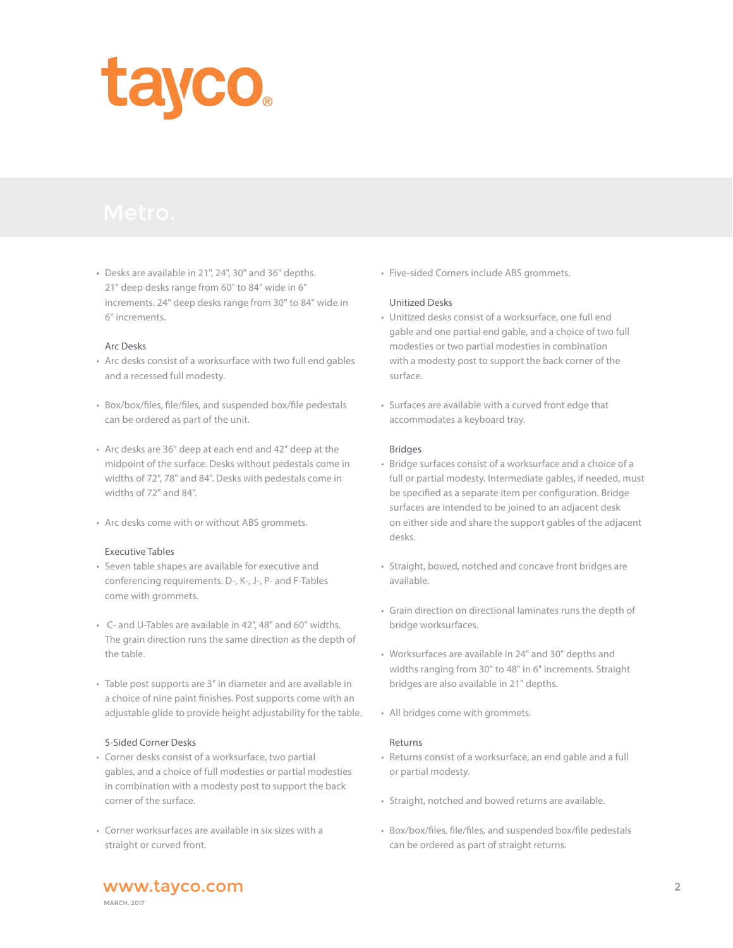

• Desks are available in 21", 24", 30" and 36" depths. 21" deep desks range from 60" to 84" wide in 6" increments. 24" deep desks range from 30" to 84" wide in 6" increments.

#### Arc Desks

- Arc desks consist of a worksurface with two full end gables and a recessed full modesty.
- Box/box/files, file/files, and suspended box/file pedestals can be ordered as part of the unit.
- Arc desks are 36" deep at each end and 42" deep at the midpoint of the surface. Desks without pedestals come in widths of 72", 78" and 84". Desks with pedestals come in widths of 72" and 84".
- Arc desks come with or without ABS grommets.

## Executive Tables

- Seven table shapes are available for executive and conferencing requirements. D-, K-, J-, P- and F-Tables come with grommets.
- C- and U-Tables are available in 42", 48" and 60" widths. The grain direction runs the same direction as the depth of the table.
- Table post supports are 3" in diameter and are available in a choice of nine paint finishes. Post supports come with an adjustable glide to provide height adjustability for the table.

#### 5-Sided Corner Desks

- Corner desks consist of a worksurface, two partial gables, and a choice of full modesties or partial modesties in combination with a modesty post to support the back corner of the surface.
- Corner worksurfaces are available in six sizes with a straight or curved front.

• Five-sided Corners include ABS grommets.

#### Unitized Desks

- Unitized desks consist of a worksurface, one full end gable and one partial end gable, and a choice of two full modesties or two partial modesties in combination with a modesty post to support the back corner of the surface.
- Surfaces are available with a curved front edge that accommodates a keyboard tray.

#### Bridges

- Bridge surfaces consist of a worksurface and a choice of a full or partial modesty. Intermediate gables, if needed, must be specified as a separate item per configuration. Bridge surfaces are intended to be joined to an adjacent desk on either side and share the support gables of the adjacent desks.
- Straight, bowed, notched and concave front bridges are available.
- Grain direction on directional laminates runs the depth of bridge worksurfaces.
- Worksurfaces are available in 24" and 30" depths and widths ranging from 30" to 48" in 6" increments. Straight bridges are also available in 21" depths.
- All bridges come with grommets.

#### Returns

- Returns consist of a worksurface, an end gable and a full or partial modesty.
- Straight, notched and bowed returns are available.
- Box/box/files, file/files, and suspended box/file pedestals can be ordered as part of straight returns.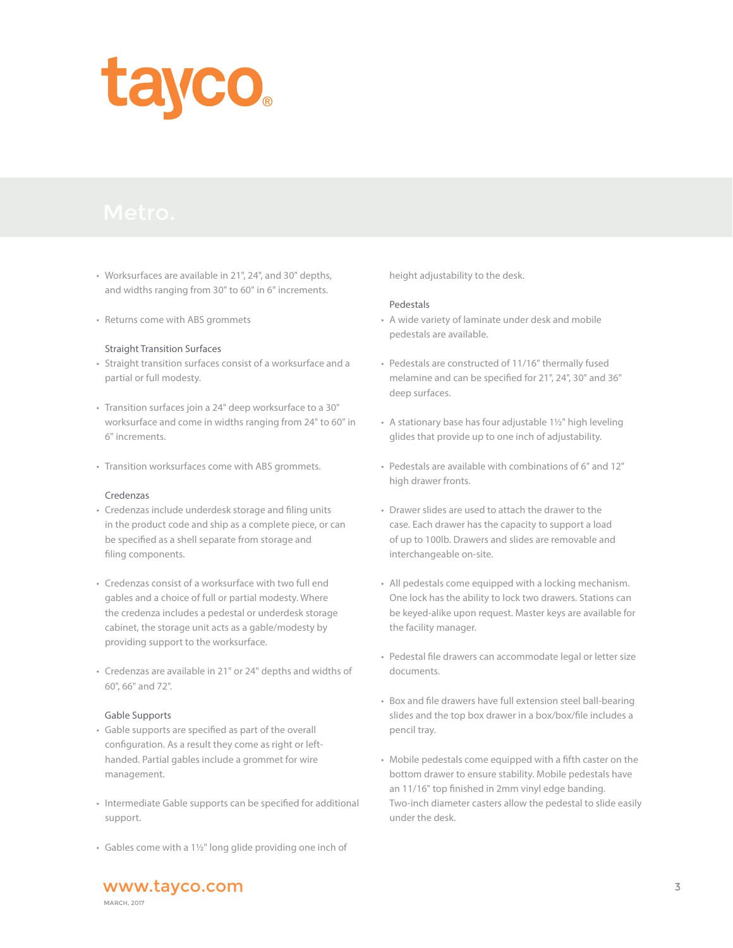

- Worksurfaces are available in 21", 24", and 30" depths, and widths ranging from 30" to 60" in 6" increments.
- Returns come with ABS grommets

#### Straight Transition Surfaces

- Straight transition surfaces consist of a worksurface and a partial or full modesty.
- Transition surfaces join a 24" deep worksurface to a 30" worksurface and come in widths ranging from 24" to 60" in 6" increments.
- Transition worksurfaces come with ABS grommets.

#### Credenzas

- Credenzas include underdesk storage and filing units in the product code and ship as a complete piece, or can be specified as a shell separate from storage and filing components.
- Credenzas consist of a worksurface with two full end gables and a choice of full or partial modesty. Where the credenza includes a pedestal or underdesk storage cabinet, the storage unit acts as a gable/modesty by providing support to the worksurface.
- Credenzas are available in 21" or 24" depths and widths of 60", 66" and 72".

#### Gable Supports

- Gable supports are specified as part of the overall configuration. As a result they come as right or left handed. Partial gables include a grommet for wire management.
- Intermediate Gable supports can be specified for additional support.
- Gables come with a 1½" long glide providing one inch of

height adjustability to the desk.

#### Pedestals

- A wide variety of laminate under desk and mobile pedestals are available.
- Pedestals are constructed of 11/16" thermally fused melamine and can be specified for 21", 24", 30" and 36" deep surfaces.
- A stationary base has four adjustable 1½" high leveling glides that provide up to one inch of adjustability.
- Pedestals are available with combinations of 6" and 12" high drawer fronts.
- Drawer slides are used to attach the drawer to the case. Each drawer has the capacity to support a load of up to 100lb. Drawers and slides are removable and interchangeable on-site.
- All pedestals come equipped with a locking mechanism. One lock has the ability to lock two drawers. Stations can be keyed-alike upon request. Master keys are available for the facility manager.
- Pedestal file drawers can accommodate legal or letter size documents.
- Box and file drawers have full extension steel ball-bearing slides and the top box drawer in a box/box/file includes a pencil tray.
- Mobile pedestals come equipped with a fifth caster on the bottom drawer to ensure stability. Mobile pedestals have an 11/16" top finished in 2mm vinyl edge banding. Two-inch diameter casters allow the pedestal to slide easily under the desk.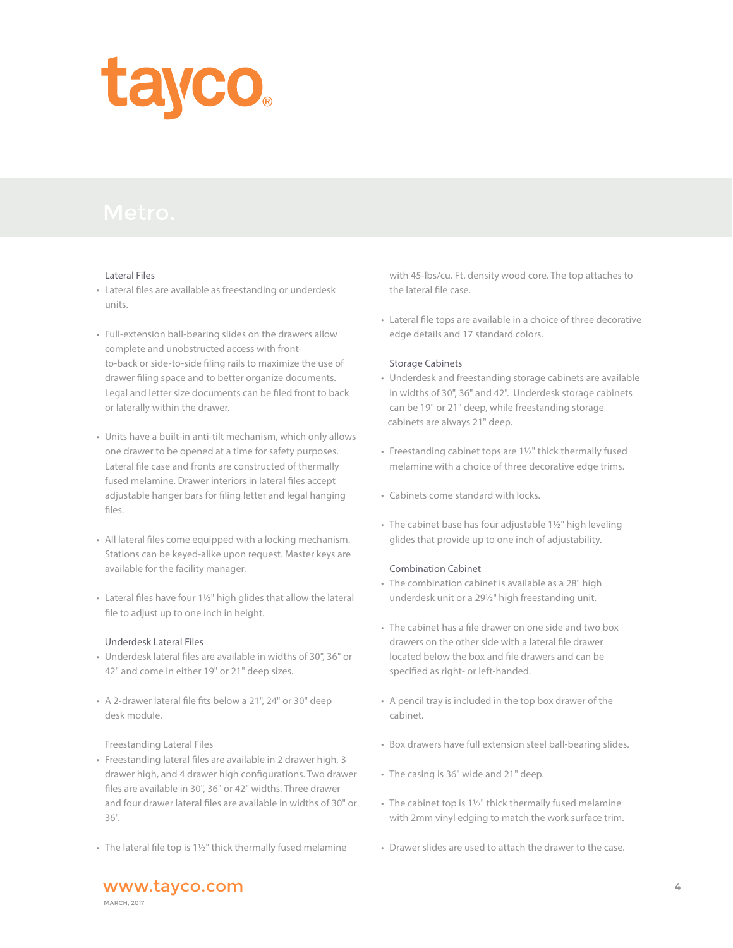# tayco.

#### Lateral Files

- Lateral files are available as freestanding or underdesk units.
- Full-extension ball-bearing slides on the drawers allow complete and unobstructed access with front to-back or side-to-side filing rails to maximize the use of drawer filing space and to better organize documents. Legal and letter size documents can be filed front to back or laterally within the drawer.
- Units have a built-in anti-tilt mechanism, which only allows one drawer to be opened at a time for safety purposes. Lateral file case and fronts are constructed of thermally fused melamine. Drawer interiors in lateral files accept adjustable hanger bars for filing letter and legal hanging files.
- All lateral files come equipped with a locking mechanism. Stations can be keyed-alike upon request. Master keys are available for the facility manager.
- Lateral files have four 1½" high glides that allow the lateral file to adjust up to one inch in height.

## Underdesk Lateral Files

- Underdesk lateral files are available in widths of 30", 36" or 42" and come in either 19" or 21" deep sizes.
- A 2-drawer lateral file fits below a 21", 24" or 30" deep desk module.

## Freestanding Lateral Files

- Freestanding lateral files are available in 2 drawer high, 3 drawer high, and 4 drawer high configurations. Two drawer files are available in 30", 36" or 42" widths. Three drawer and four drawer lateral files are available in widths of 30" or 36".
- The lateral file top is 1½" thick thermally fused melamine

 with 45-lbs/cu. Ft. density wood core. The top attaches to the lateral file case.

• Lateral file tops are available in a choice of three decorative edge details and 17 standard colors.

#### Storage Cabinets

- Underdesk and freestanding storage cabinets are available in widths of 30", 36" and 42". Underdesk storage cabinets can be 19" or 21" deep, while freestanding storage cabinets are always 21" deep.
- Freestanding cabinet tops are 1½" thick thermally fused melamine with a choice of three decorative edge trims.
- Cabinets come standard with locks.
- The cabinet base has four adjustable 1½" high leveling glides that provide up to one inch of adjustability.

## Combination Cabinet

- The combination cabinet is available as a 28" high underdesk unit or a 29½" high freestanding unit.
- The cabinet has a file drawer on one side and two box drawers on the other side with a lateral file drawer located below the box and file drawers and can be specified as right- or left-handed.
- A pencil tray is included in the top box drawer of the cabinet.
- Box drawers have full extension steel ball-bearing slides.
- The casing is 36" wide and 21" deep.
- The cabinet top is 1½" thick thermally fused melamine with 2mm vinyl edging to match the work surface trim.
- Drawer slides are used to attach the drawer to the case.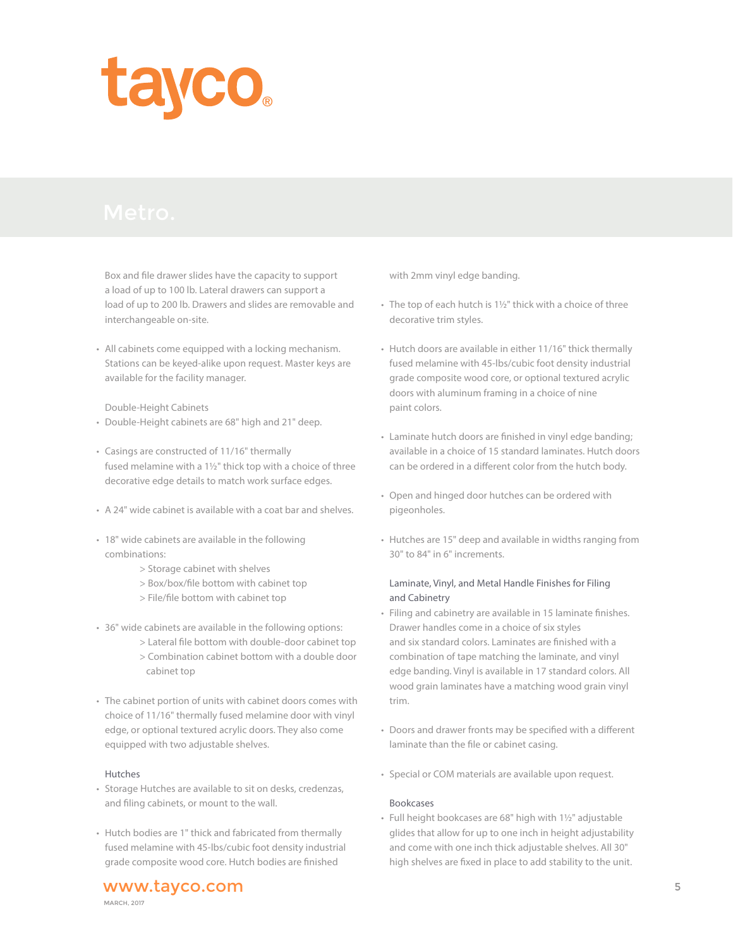

Box and file drawer slides have the capacity to support a load of up to 100 lb. Lateral drawers can support a load of up to 200 lb. Drawers and slides are removable and interchangeable on-site.

• All cabinets come equipped with a locking mechanism. Stations can be keyed-alike upon request. Master keys are available for the facility manager.

#### Double-Height Cabinets

- Double-Height cabinets are 68" high and 21" deep.
- Casings are constructed of 11/16" thermally fused melamine with a 1½" thick top with a choice of three decorative edge details to match work surface edges.
- A 24" wide cabinet is available with a coat bar and shelves.
- 18" wide cabinets are available in the following combinations:
	- > Storage cabinet with shelves
	- > Box/box/file bottom with cabinet top
	- > File/file bottom with cabinet top
- 36" wide cabinets are available in the following options:
	- > Lateral file bottom with double-door cabinet top > Combination cabinet bottom with a double door
		- cabinet top
- The cabinet portion of units with cabinet doors comes with choice of 11/16" thermally fused melamine door with vinyl edge, or optional textured acrylic doors. They also come equipped with two adjustable shelves.

#### Hutches

- Storage Hutches are available to sit on desks, credenzas, and filing cabinets, or mount to the wall.
- Hutch bodies are 1" thick and fabricated from thermally fused melamine with 45-lbs/cubic foot density industrial grade composite wood core. Hutch bodies are finished

with 2mm vinyl edge banding.

- The top of each hutch is 1½" thick with a choice of three decorative trim styles.
- Hutch doors are available in either 11/16" thick thermally fused melamine with 45-lbs/cubic foot density industrial grade composite wood core, or optional textured acrylic doors with aluminum framing in a choice of nine paint colors.
- Laminate hutch doors are finished in vinyl edge banding; available in a choice of 15 standard laminates. Hutch doors can be ordered in a different color from the hutch body.
- Open and hinged door hutches can be ordered with pigeonholes.
- Hutches are 15" deep and available in widths ranging from 30" to 84" in 6" increments.

## Laminate, Vinyl, and Metal Handle Finishes for Filing and Cabinetry

- Filing and cabinetry are available in 15 laminate finishes. Drawer handles come in a choice of six styles and six standard colors. Laminates are finished with a combination of tape matching the laminate, and vinyl edge banding. Vinyl is available in 17 standard colors. All wood grain laminates have a matching wood grain vinyl trim.
- Doors and drawer fronts may be specified with a different laminate than the file or cabinet casing.
- Special or COM materials are available upon request.

#### Bookcases

• Full height bookcases are 68" high with 1½" adjustable glides that allow for up to one inch in height adjustability and come with one inch thick adjustable shelves. All 30" high shelves are fixed in place to add stability to the unit.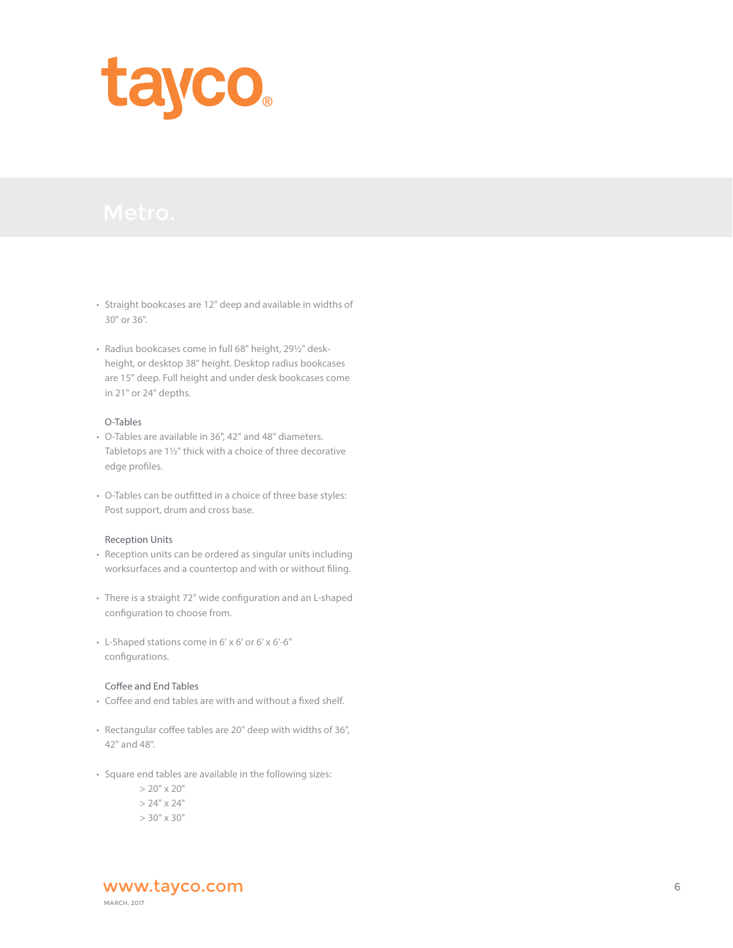

- Straight bookcases are 12" deep and available in widths of 30" or 36".
- Radius bookcases come in full 68" height, 29½" desk height, or desktop 38" height. Desktop radius bookcases are 15" deep. Full height and under desk bookcases come in 21" or 24" depths.

## O-Tables

- O-Tables are available in 36", 42" and 48" diameters. Tabletops are 1½" thick with a choice of three decorative edge profiles.
- O-Tables can be outfitted in a choice of three base styles: Post support, drum and cross base.

#### Reception Units

- Reception units can be ordered as singular units including worksurfaces and a countertop and with or without filing.
- There is a straight 72" wide configuration and an L-shaped configuration to choose from.
- L-Shaped stations come in 6' x 6' or 6' x 6'-6" configurations.

#### Coffee and End Tables

- Coffee and end tables are with and without a fixed shelf.
- Rectangular coffee tables are 20" deep with widths of 36", 42" and 48".
- Square end tables are available in the following sizes:

 $> 20" \times 20"$ 

 $> 24" \times 24"$ 

 $> 30" \times 30"$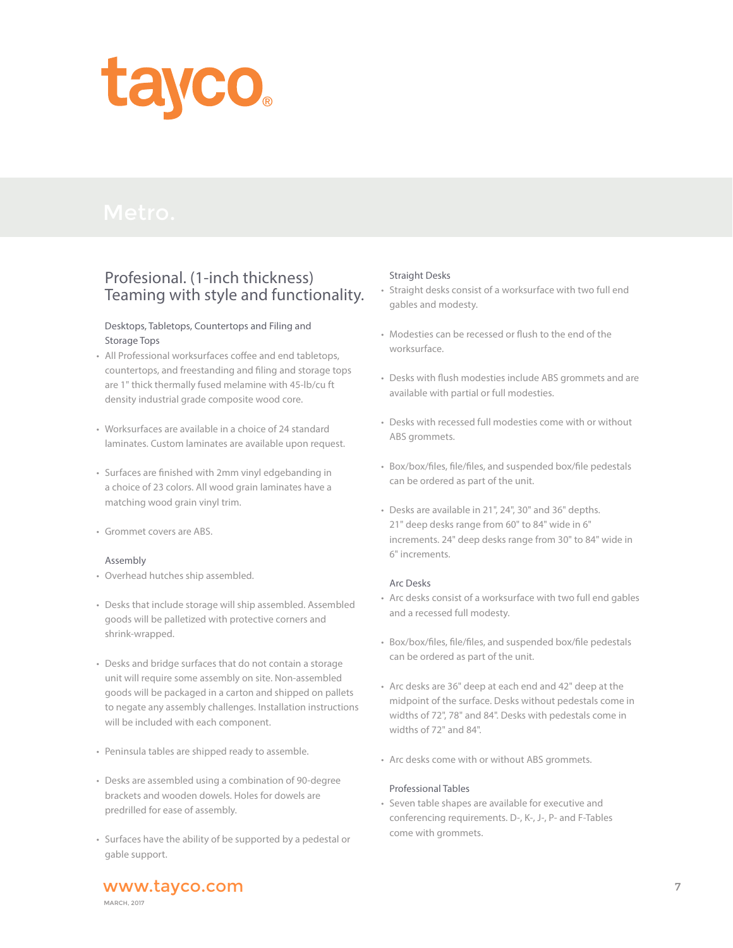

# Profesional. (1-inch thickness) Teaming with style and functionality.

## Desktops, Tabletops, Countertops and Filing and Storage Tops

- All Professional worksurfaces coffee and end tabletops, countertops, and freestanding and filing and storage tops are 1" thick thermally fused melamine with 45-lb/cu ft density industrial grade composite wood core.
- Worksurfaces are available in a choice of 24 standard laminates. Custom laminates are available upon request.
- Surfaces are finished with 2mm vinyl edgebanding in a choice of 23 colors. All wood grain laminates have a matching wood grain vinyl trim.
- Grommet covers are ABS.

## Assembly

- Overhead hutches ship assembled.
- Desks that include storage will ship assembled. Assembled goods will be palletized with protective corners and shrink-wrapped.
- Desks and bridge surfaces that do not contain a storage unit will require some assembly on site. Non-assembled goods will be packaged in a carton and shipped on pallets to negate any assembly challenges. Installation instructions will be included with each component.
- Peninsula tables are shipped ready to assemble.
- Desks are assembled using a combination of 90-degree brackets and wooden dowels. Holes for dowels are predrilled for ease of assembly.
- Surfaces have the ability of be supported by a pedestal or gable support.

## Straight Desks

- Straight desks consist of a worksurface with two full end gables and modesty.
- Modesties can be recessed or flush to the end of the worksurface.
- Desks with flush modesties include ABS grommets and are available with partial or full modesties.
- Desks with recessed full modesties come with or without ABS grommets.
- Box/box/files, file/files, and suspended box/file pedestals can be ordered as part of the unit.
- Desks are available in 21", 24", 30" and 36" depths. 21" deep desks range from 60" to 84" wide in 6" increments. 24" deep desks range from 30" to 84" wide in 6" increments.

#### Arc Desks

- Arc desks consist of a worksurface with two full end gables and a recessed full modesty.
- Box/box/files, file/files, and suspended box/file pedestals can be ordered as part of the unit.
- Arc desks are 36" deep at each end and 42" deep at the midpoint of the surface. Desks without pedestals come in widths of 72", 78" and 84". Desks with pedestals come in widths of 72" and 84".
- Arc desks come with or without ABS grommets.

#### Professional Tables

• Seven table shapes are available for executive and conferencing requirements. D-, K-, J-, P- and F-Tables come with grommets.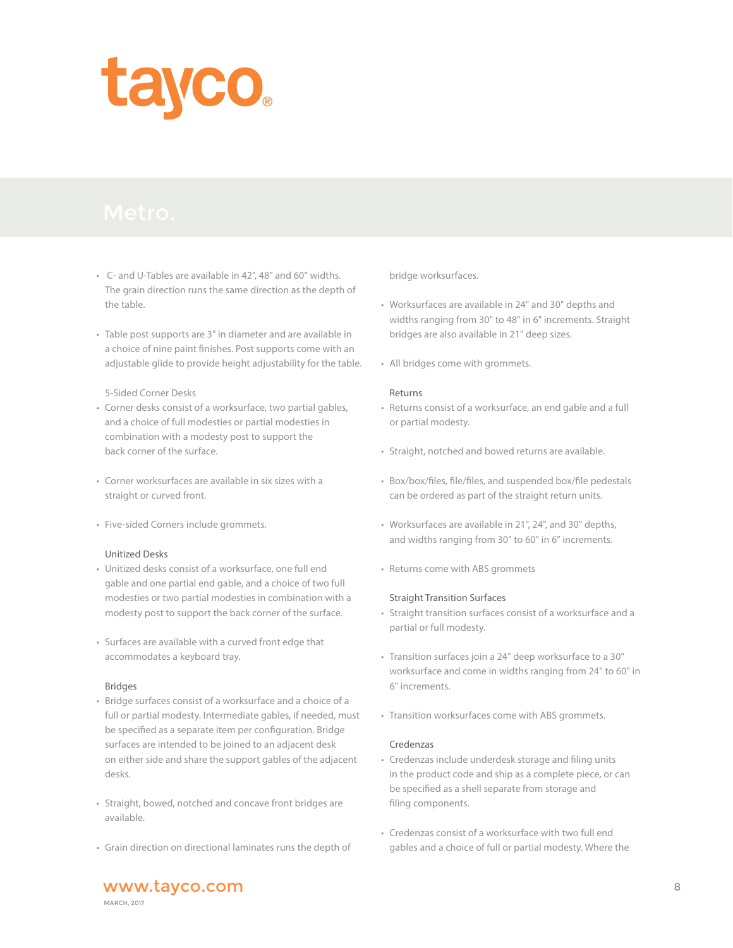

- C- and U-Tables are available in 42", 48" and 60" widths. The grain direction runs the same direction as the depth of the table.
- Table post supports are 3" in diameter and are available in a choice of nine paint finishes. Post supports come with an adjustable glide to provide height adjustability for the table.

#### 5-Sided Corner Desks

- Corner desks consist of a worksurface, two partial gables, and a choice of full modesties or partial modesties in combination with a modesty post to support the back corner of the surface.
- Corner worksurfaces are available in six sizes with a straight or curved front.
- Five-sided Corners include grommets.

#### Unitized Desks

- Unitized desks consist of a worksurface, one full end gable and one partial end gable, and a choice of two full modesties or two partial modesties in combination with a modesty post to support the back corner of the surface.
- Surfaces are available with a curved front edge that accommodates a keyboard tray.

#### Bridges

- Bridge surfaces consist of a worksurface and a choice of a full or partial modesty. Intermediate gables, if needed, must be specified as a separate item per configuration. Bridge surfaces are intended to be joined to an adjacent desk on either side and share the support gables of the adjacent desks.
- Straight, bowed, notched and concave front bridges are available.
- Grain direction on directional laminates runs the depth of

bridge worksurfaces.

- Worksurfaces are available in 24" and 30" depths and widths ranging from 30" to 48" in 6" increments. Straight bridges are also available in 21" deep sizes.
- All bridges come with grommets.

#### Returns

- Returns consist of a worksurface, an end gable and a full or partial modesty.
- Straight, notched and bowed returns are available.
- Box/box/files, file/files, and suspended box/file pedestals can be ordered as part of the straight return units.
- Worksurfaces are available in 21", 24", and 30" depths, and widths ranging from 30" to 60" in 6" increments.
- Returns come with ABS grommets

#### Straight Transition Surfaces

- Straight transition surfaces consist of a worksurface and a partial or full modesty.
- Transition surfaces join a 24" deep worksurface to a 30" worksurface and come in widths ranging from 24" to 60" in 6" increments.
- Transition worksurfaces come with ABS grommets.

## Credenzas

- Credenzas include underdesk storage and filing units in the product code and ship as a complete piece, or can be specified as a shell separate from storage and filing components.
- Credenzas consist of a worksurface with two full end gables and a choice of full or partial modesty. Where the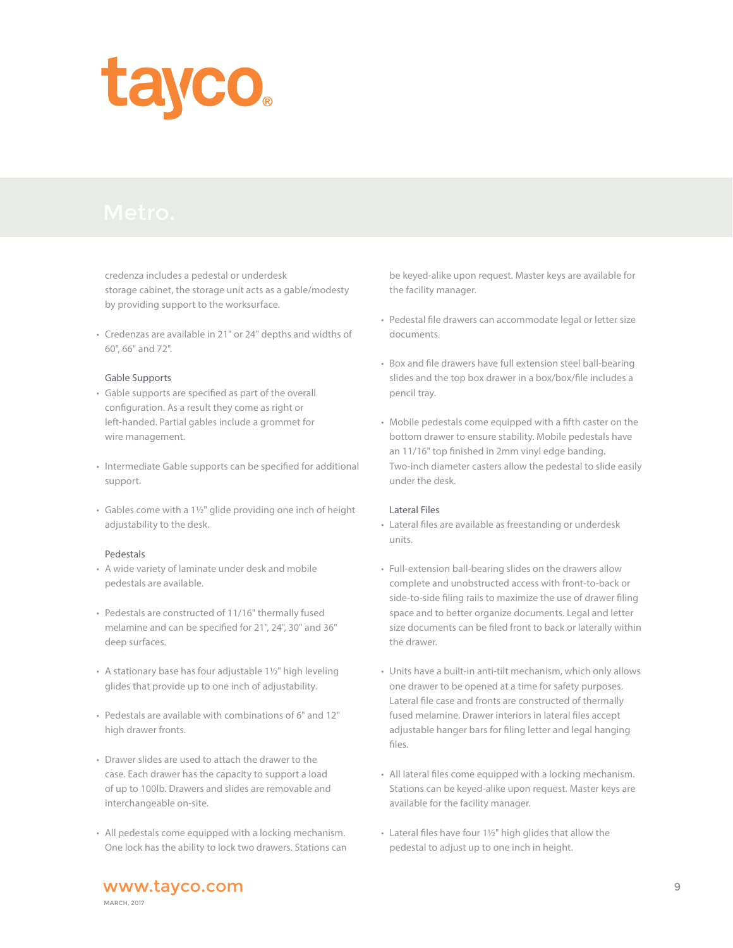

 credenza includes a pedestal or underdesk storage cabinet, the storage unit acts as a gable/modesty by providing support to the worksurface.

• Credenzas are available in 21" or 24" depths and widths of 60", 66" and 72".

#### Gable Supports

- Gable supports are specified as part of the overall configuration. As a result they come as right or left-handed. Partial gables include a grommet for wire management.
- Intermediate Gable supports can be specified for additional support.
- Gables come with a 1½" glide providing one inch of height adjustability to the desk.

#### Pedestals

- A wide variety of laminate under desk and mobile pedestals are available.
- Pedestals are constructed of 11/16" thermally fused melamine and can be specified for 21", 24", 30" and 36" deep surfaces.
- A stationary base has four adjustable 1½" high leveling glides that provide up to one inch of adjustability.
- Pedestals are available with combinations of 6" and 12" high drawer fronts.
- Drawer slides are used to attach the drawer to the case. Each drawer has the capacity to support a load of up to 100lb. Drawers and slides are removable and interchangeable on-site.
- All pedestals come equipped with a locking mechanism. One lock has the ability to lock two drawers. Stations can

 be keyed-alike upon request. Master keys are available for the facility manager.

- Pedestal file drawers can accommodate legal or letter size documents.
- Box and file drawers have full extension steel ball-bearing slides and the top box drawer in a box/box/file includes a pencil tray.
- Mobile pedestals come equipped with a fifth caster on the bottom drawer to ensure stability. Mobile pedestals have an 11/16" top finished in 2mm vinyl edge banding. Two-inch diameter casters allow the pedestal to slide easily under the desk.

#### Lateral Files

- Lateral files are available as freestanding or underdesk units.
- Full-extension ball-bearing slides on the drawers allow complete and unobstructed access with front-to-back or side-to-side filing rails to maximize the use of drawer filing space and to better organize documents. Legal and letter size documents can be filed front to back or laterally within the drawer.
- Units have a built-in anti-tilt mechanism, which only allows one drawer to be opened at a time for safety purposes. Lateral file case and fronts are constructed of thermally fused melamine. Drawer interiors in lateral files accept adjustable hanger bars for filing letter and legal hanging files.
- All lateral files come equipped with a locking mechanism. Stations can be keyed-alike upon request. Master keys are available for the facility manager.
- Lateral files have four 1½" high glides that allow the pedestal to adjust up to one inch in height.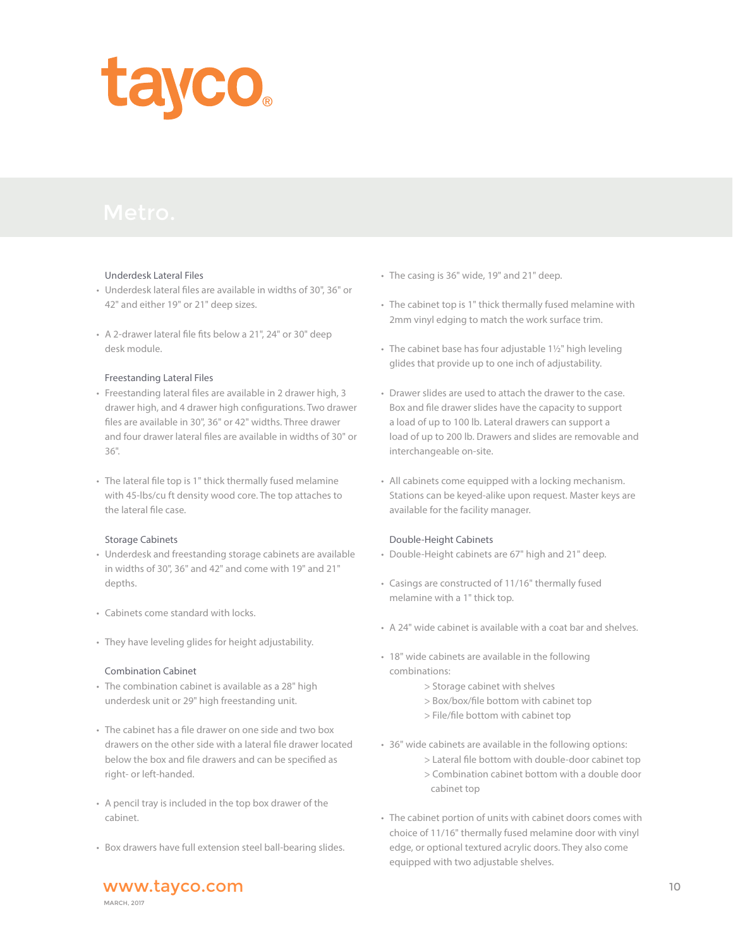

#### Underdesk Lateral Files

- Underdesk lateral files are available in widths of 30", 36" or 42" and either 19" or 21" deep sizes.
- A 2-drawer lateral file fits below a 21", 24" or 30" deep desk module.

#### Freestanding Lateral Files

- Freestanding lateral files are available in 2 drawer high, 3 drawer high, and 4 drawer high configurations. Two drawer files are available in 30", 36" or 42" widths. Three drawer and four drawer lateral files are available in widths of 30" or 36".
- The lateral file top is 1" thick thermally fused melamine with 45-lbs/cu ft density wood core. The top attaches to the lateral file case.

#### Storage Cabinets

- Underdesk and freestanding storage cabinets are available in widths of 30", 36" and 42" and come with 19" and 21" depths.
- Cabinets come standard with locks.
- They have leveling glides for height adjustability.

## Combination Cabinet

- The combination cabinet is available as a 28" high underdesk unit or 29" high freestanding unit.
- The cabinet has a file drawer on one side and two box drawers on the other side with a lateral file drawer located below the box and file drawers and can be specified as right- or left-handed.
- A pencil tray is included in the top box drawer of the cabinet.
- Box drawers have full extension steel ball-bearing slides.
- The casing is 36" wide, 19" and 21" deep.
- The cabinet top is 1" thick thermally fused melamine with 2mm vinyl edging to match the work surface trim.
- The cabinet base has four adjustable 1½" high leveling glides that provide up to one inch of adjustability.
- Drawer slides are used to attach the drawer to the case. Box and file drawer slides have the capacity to support a load of up to 100 lb. Lateral drawers can support a load of up to 200 lb. Drawers and slides are removable and interchangeable on-site.
- All cabinets come equipped with a locking mechanism. Stations can be keyed-alike upon request. Master keys are available for the facility manager.

## Double-Height Cabinets

- Double-Height cabinets are 67" high and 21" deep.
- Casings are constructed of 11/16" thermally fused melamine with a 1" thick top.
- A 24" wide cabinet is available with a coat bar and shelves.
- 18" wide cabinets are available in the following combinations:
	- > Storage cabinet with shelves
	- > Box/box/file bottom with cabinet top
	- > File/file bottom with cabinet top
- 36" wide cabinets are available in the following options:
	- > Lateral file bottom with double-door cabinet top
	- > Combination cabinet bottom with a double door cabinet top
- The cabinet portion of units with cabinet doors comes with choice of 11/16" thermally fused melamine door with vinyl edge, or optional textured acrylic doors. They also come equipped with two adjustable shelves.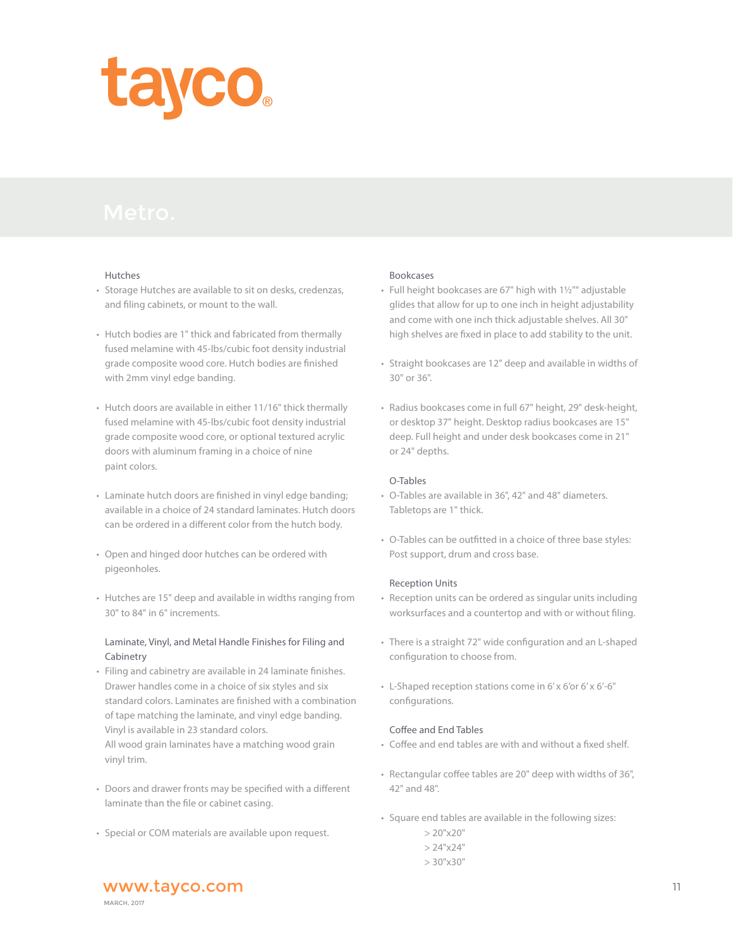

#### Hutches

- Storage Hutches are available to sit on desks, credenzas, and filing cabinets, or mount to the wall.
- Hutch bodies are 1" thick and fabricated from thermally fused melamine with 45-lbs/cubic foot density industrial grade composite wood core. Hutch bodies are finished with 2mm vinyl edge banding.
- Hutch doors are available in either 11/16" thick thermally fused melamine with 45-lbs/cubic foot density industrial grade composite wood core, or optional textured acrylic doors with aluminum framing in a choice of nine paint colors.
- Laminate hutch doors are finished in vinyl edge banding; available in a choice of 24 standard laminates. Hutch doors can be ordered in a different color from the hutch body.
- Open and hinged door hutches can be ordered with pigeonholes.
- Hutches are 15" deep and available in widths ranging from 30" to 84" in 6" increments.

## Laminate, Vinyl, and Metal Handle Finishes for Filing and Cabinetry

- Filing and cabinetry are available in 24 laminate finishes. Drawer handles come in a choice of six styles and six standard colors. Laminates are finished with a combination of tape matching the laminate, and vinyl edge banding. Vinyl is available in 23 standard colors. All wood grain laminates have a matching wood grain vinyl trim.
- Doors and drawer fronts may be specified with a different laminate than the file or cabinet casing.
- Special or COM materials are available upon request.

#### Bookcases

- Full height bookcases are 67" high with 1½"" adjustable glides that allow for up to one inch in height adjustability and come with one inch thick adjustable shelves. All 30" high shelves are fixed in place to add stability to the unit.
- Straight bookcases are 12" deep and available in widths of 30" or 36".
- Radius bookcases come in full 67" height, 29" desk-height, or desktop 37" height. Desktop radius bookcases are 15" deep. Full height and under desk bookcases come in 21" or 24" depths.

#### O-Tables

- O-Tables are available in 36", 42" and 48" diameters. Tabletops are 1" thick.
- O-Tables can be outfitted in a choice of three base styles: Post support, drum and cross base.

#### Reception Units

- Reception units can be ordered as singular units including worksurfaces and a countertop and with or without filing.
- There is a straight 72" wide configuration and an L-shaped configuration to choose from.
- L-Shaped reception stations come in 6' x 6'or 6' x 6'-6" configurations.

#### Coffee and End Tables

- Coffee and end tables are with and without a fixed shelf.
- Rectangular coffee tables are 20" deep with widths of 36", 42" and 48".
- Square end tables are available in the following sizes:
	- $> 20"$ x20"
	- $> 24"$ x24"
	- $> 30"$ x $30"$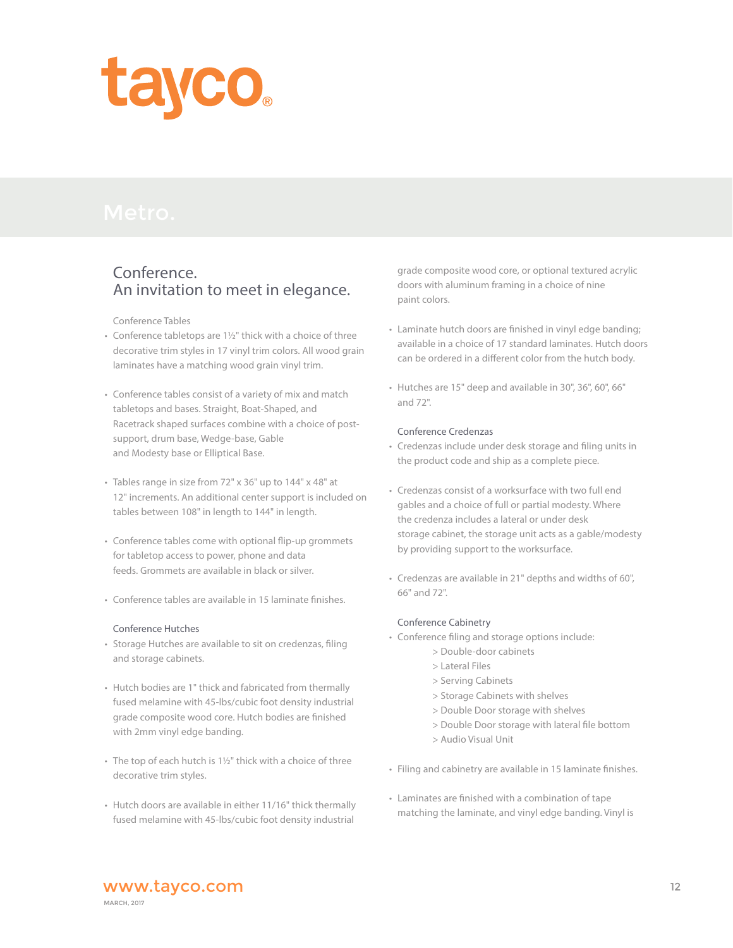

## Conference. An invitation to meet in elegance.

Conference Tables

- Conference tabletops are 1½" thick with a choice of three decorative trim styles in 17 vinyl trim colors. All wood grain laminates have a matching wood grain vinyl trim.
- Conference tables consist of a variety of mix and match tabletops and bases. Straight, Boat-Shaped, and Racetrack shaped surfaces combine with a choice of post support, drum base, Wedge-base, Gable and Modesty base or Elliptical Base.
- Tables range in size from 72" x 36" up to 144" x 48" at 12" increments. An additional center support is included on tables between 108" in length to 144" in length.
- Conference tables come with optional flip-up grommets for tabletop access to power, phone and data feeds. Grommets are available in black or silver.
- Conference tables are available in 15 laminate finishes.

#### Conference Hutches

- Storage Hutches are available to sit on credenzas, filing and storage cabinets.
- Hutch bodies are 1" thick and fabricated from thermally fused melamine with 45-lbs/cubic foot density industrial grade composite wood core. Hutch bodies are finished with 2mm vinyl edge banding.
- The top of each hutch is 1½" thick with a choice of three decorative trim styles.
- Hutch doors are available in either 11/16" thick thermally fused melamine with 45-lbs/cubic foot density industrial

 grade composite wood core, or optional textured acrylic doors with aluminum framing in a choice of nine paint colors.

- Laminate hutch doors are finished in vinyl edge banding; available in a choice of 17 standard laminates. Hutch doors can be ordered in a different color from the hutch body.
- Hutches are 15" deep and available in 30", 36", 60", 66" and 72".

#### Conference Credenzas

- Credenzas include under desk storage and filing units in the product code and ship as a complete piece.
- Credenzas consist of a worksurface with two full end gables and a choice of full or partial modesty. Where the credenza includes a lateral or under desk storage cabinet, the storage unit acts as a gable/modesty by providing support to the worksurface.
- Credenzas are available in 21" depths and widths of 60", 66" and 72".

#### Conference Cabinetry

- Conference filing and storage options include:
	- > Double-door cabinets
	- > Lateral Files
	- > Serving Cabinets
	- > Storage Cabinets with shelves
	- > Double Door storage with shelves
	- > Double Door storage with lateral file bottom
	- > Audio Visual Unit
- Filing and cabinetry are available in 15 laminate finishes.
- Laminates are finished with a combination of tape matching the laminate, and vinyl edge banding. Vinyl is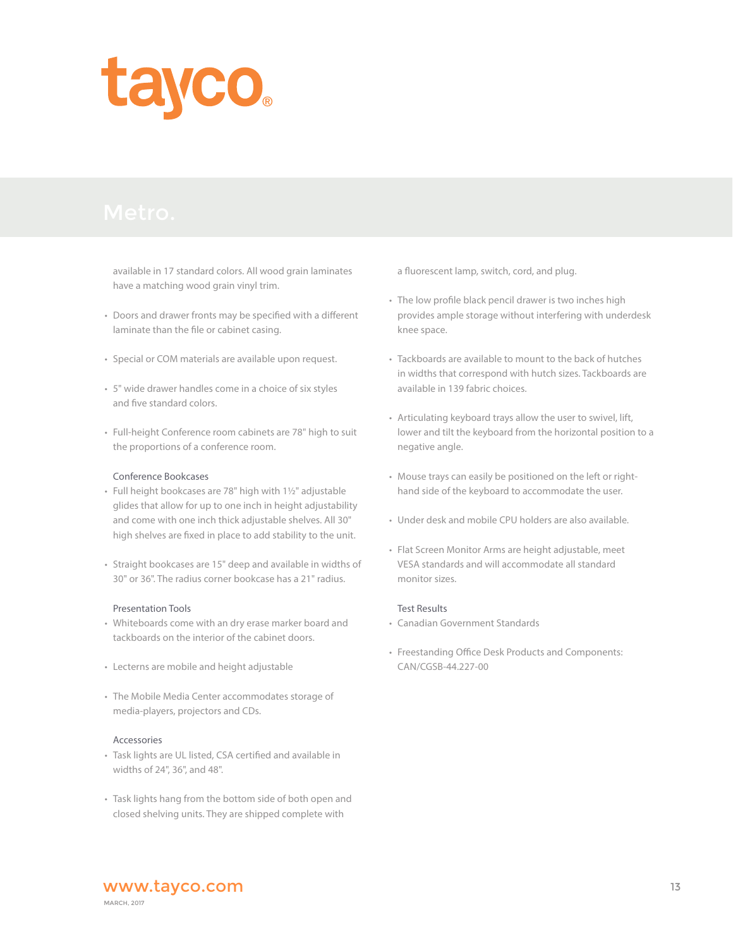

 available in 17 standard colors. All wood grain laminates have a matching wood grain vinyl trim.

- Doors and drawer fronts may be specified with a different laminate than the file or cabinet casing.
- Special or COM materials are available upon request.
- 5" wide drawer handles come in a choice of six styles and five standard colors.
- Full-height Conference room cabinets are 78" high to suit the proportions of a conference room.

#### Conference Bookcases

- Full height bookcases are 78" high with 1½" adjustable glides that allow for up to one inch in height adjustability and come with one inch thick adjustable shelves. All 30" high shelves are fixed in place to add stability to the unit.
- Straight bookcases are 15" deep and available in widths of 30" or 36". The radius corner bookcase has a 21" radius.

#### Presentation Tools

- Whiteboards come with an dry erase marker board and tackboards on the interior of the cabinet doors.
- Lecterns are mobile and height adjustable
- The Mobile Media Center accommodates storage of media-players, projectors and CDs.

#### Accessories

- Task lights are UL listed, CSA certified and available in widths of 24", 36", and 48".
- Task lights hang from the bottom side of both open and closed shelving units. They are shipped complete with

a fluorescent lamp, switch, cord, and plug.

- The low profile black pencil drawer is two inches high provides ample storage without interfering with underdesk knee space.
- Tackboards are available to mount to the back of hutches in widths that correspond with hutch sizes. Tackboards are available in 139 fabric choices.
- Articulating keyboard trays allow the user to swivel, lift, lower and tilt the keyboard from the horizontal position to a negative angle.
- Mouse trays can easily be positioned on the left or right hand side of the keyboard to accommodate the user.
- Under desk and mobile CPU holders are also available.
- Flat Screen Monitor Arms are height adjustable, meet VESA standards and will accommodate all standard monitor sizes.

#### Test Results

- Canadian Government Standards
- Freestanding Office Desk Products and Components: CAN/CGSB-44.227-00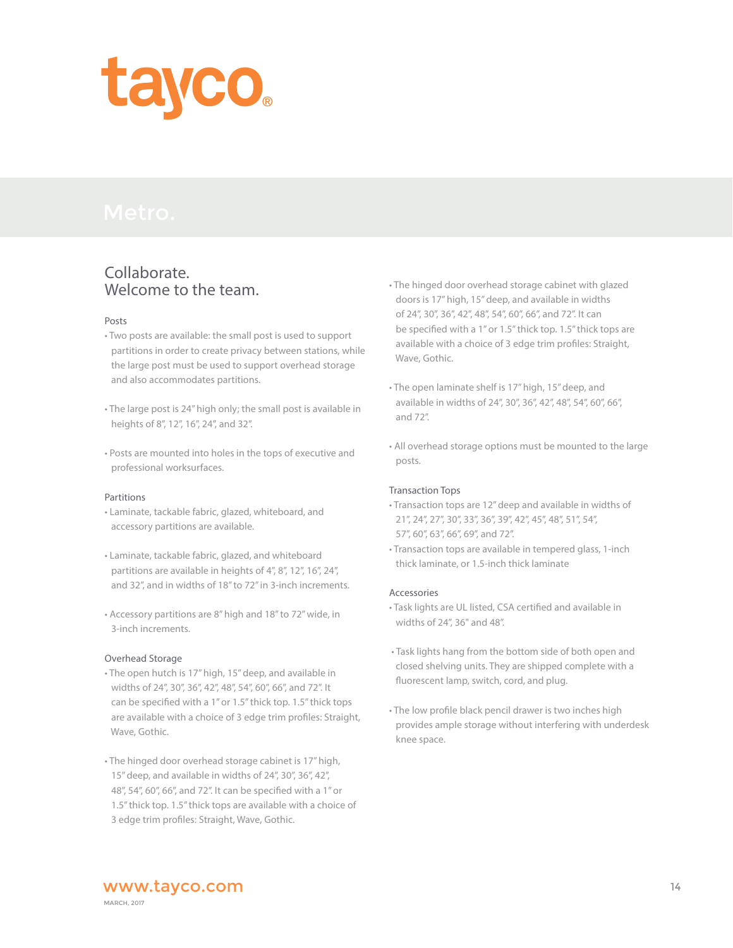

# Collaborate. Welcome to the team.

#### Posts

- Two posts are available: the small post is used to support partitions in order to create privacy between stations, while the large post must be used to support overhead storage and also accommodates partitions.
- The large post is 24" high only; the small post is available in heights of 8", 12", 16", 24", and 32".
- Posts are mounted into holes in the tops of executive and professional worksurfaces.

#### Partitions

- Laminate, tackable fabric, glazed, whiteboard, and accessory partitions are available.
- Laminate, tackable fabric, glazed, and whiteboard partitions are available in heights of 4", 8", 12", 16", 24", and 32", and in widths of 18" to 72" in 3-inch increments.
- Accessory partitions are 8" high and 18" to 72" wide, in 3-inch increments.

#### Overhead Storage

- The open hutch is 17" high, 15" deep, and available in widths of 24", 30", 36", 42", 48", 54", 60", 66", and 72". It can be specified with a 1" or 1.5" thick top. 1.5" thick tops are available with a choice of 3 edge trim profiles: Straight, Wave, Gothic.
- The hinged door overhead storage cabinet is 17" high, 15" deep, and available in widths of 24", 30", 36", 42", 48", 54", 60", 66", and 72". It can be specified with a 1" or 1.5" thick top. 1.5" thick tops are available with a choice of 3 edge trim profiles: Straight, Wave, Gothic.
- The hinged door overhead storage cabinet with glazed doors is 17" high, 15" deep, and available in widths of 24", 30", 36", 42", 48", 54", 60", 66", and 72". It can be specified with a 1" or 1.5" thick top. 1.5" thick tops are available with a choice of 3 edge trim profiles: Straight, Wave, Gothic.
- The open laminate shelf is 17" high, 15" deep, and available in widths of 24", 30", 36", 42", 48", 54", 60", 66", and 72".
- All overhead storage options must be mounted to the large posts.

#### Transaction Tops

- Transaction tops are 12" deep and available in widths of 21", 24", 27", 30", 33", 36", 39", 42", 45", 48", 51", 54", 57", 60", 63", 66", 69", and 72".
- Transaction tops are available in tempered glass, 1-inch thick laminate, or 1.5-inch thick laminate

## Accessories

- Task lights are UL listed, CSA certified and available in widths of 24", 36" and 48".
- Task lights hang from the bottom side of both open and closed shelving units. They are shipped complete with a fluorescent lamp, switch, cord, and plug.
- The low profile black pencil drawer is two inches high provides ample storage without interfering with underdesk knee space.